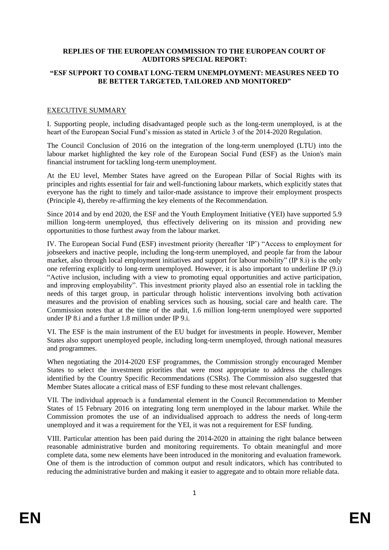### **REPLIES OF THE EUROPEAN COMMISSION TO THE EUROPEAN COURT OF AUDITORS SPECIAL REPORT:**

### **"ESF SUPPORT TO COMBAT LONG-TERM UNEMPLOYMENT: MEASURES NEED TO BE BETTER TARGETED, TAILORED AND MONITORED"**

### EXECUTIVE SUMMARY

I. Supporting people, including disadvantaged people such as the long-term unemployed, is at the heart of the European Social Fund's mission as stated in Article 3 of the 2014-2020 Regulation.

The Council Conclusion of 2016 on the integration of the long-term unemployed (LTU) into the labour market highlighted the key role of the European Social Fund (ESF) as the Union's main financial instrument for tackling long-term unemployment.

At the EU level, Member States have agreed on the European Pillar of Social Rights with its principles and rights essential for fair and well-functioning labour markets, which explicitly states that everyone has the right to timely and tailor-made assistance to improve their employment prospects (Principle 4), thereby re-affirming the key elements of the Recommendation.

Since 2014 and by end 2020, the ESF and the Youth Employment Initiative (YEI) have supported 5.9 million long-term unemployed, thus effectively delivering on its mission and providing new opportunities to those furthest away from the labour market.

IV. The European Social Fund (ESF) investment priority (hereafter 'IP') "Access to employment for jobseekers and inactive people, including the long-term unemployed, and people far from the labour market, also through local employment initiatives and support for labour mobility" (IP 8.i) is the only one referring explicitly to long-term unemployed. However, it is also important to underline IP (9.i) "Active inclusion, including with a view to promoting equal opportunities and active participation, and improving employability". This investment priority played also an essential role in tackling the needs of this target group, in particular through holistic interventions involving both activation measures and the provision of enabling services such as housing, social care and health care. The Commission notes that at the time of the audit, 1.6 million long-term unemployed were supported under IP 8.i and a further 1.8 million under IP 9.i.

VI. The ESF is the main instrument of the EU budget for investments in people. However, Member States also support unemployed people, including long-term unemployed, through national measures and programmes.

When negotiating the 2014-2020 ESF programmes, the Commission strongly encouraged Member States to select the investment priorities that were most appropriate to address the challenges identified by the Country Specific Recommendations (CSRs). The Commission also suggested that Member States allocate a critical mass of ESF funding to these most relevant challenges.

VII. The individual approach is a fundamental element in the Council Recommendation to Member States of 15 February 2016 on integrating long term unemployed in the labour market. While the Commission promotes the use of an individualised approach to address the needs of long-term unemployed and it was a requirement for the YEI, it was not a requirement for ESF funding.

VIII. Particular attention has been paid during the 2014-2020 in attaining the right balance between reasonable administrative burden and monitoring requirements. To obtain meaningful and more complete data, some new elements have been introduced in the monitoring and evaluation framework. One of them is the introduction of common output and result indicators, which has contributed to reducing the administrative burden and making it easier to aggregate and to obtain more reliable data.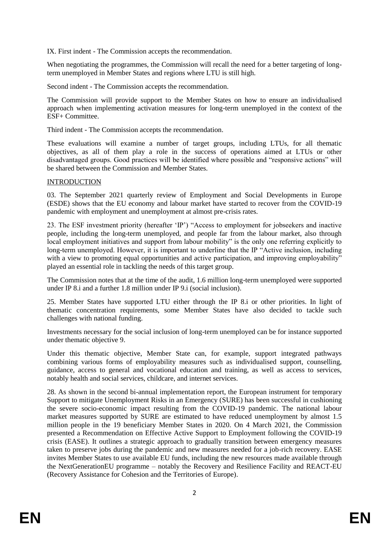IX. First indent - The Commission accepts the recommendation.

When negotiating the programmes, the Commission will recall the need for a better targeting of longterm unemployed in Member States and regions where LTU is still high.

Second indent - The Commission accepts the recommendation.

The Commission will provide support to the Member States on how to ensure an individualised approach when implementing activation measures for long-term unemployed in the context of the ESF+ Committee.

Third indent - The Commission accepts the recommendation.

These evaluations will examine a number of target groups, including LTUs, for all thematic objectives, as all of them play a role in the success of operations aimed at LTUs or other disadvantaged groups. Good practices will be identified where possible and "responsive actions" will be shared between the Commission and Member States.

# INTRODUCTION

03. The September 2021 quarterly review of Employment and Social Developments in Europe (ESDE) shows that the EU economy and labour market have started to recover from the COVID-19 pandemic with employment and unemployment at almost pre-crisis rates.

23. The ESF investment priority (hereafter 'IP') "Access to employment for jobseekers and inactive people, including the long-term unemployed, and people far from the labour market, also through local employment initiatives and support from labour mobility" is the only one referring explicitly to long-term unemployed. However, it is important to underline that the IP "Active inclusion, including with a view to promoting equal opportunities and active participation, and improving employability" played an essential role in tackling the needs of this target group.

The Commission notes that at the time of the audit, 1.6 million long-term unemployed were supported under IP 8.i and a further 1.8 million under IP 9.i (social inclusion).

25. Member States have supported LTU either through the IP 8.i or other priorities. In light of thematic concentration requirements, some Member States have also decided to tackle such challenges with national funding.

Investments necessary for the social inclusion of long-term unemployed can be for instance supported under thematic objective 9.

Under this thematic objective, Member State can, for example, support integrated pathways combining various forms of employability measures such as individualised support, counselling, guidance, access to general and vocational education and training, as well as access to services, notably health and social services, childcare, and internet services.

28. As shown in the second bi-annual implementation report, the European instrument for temporary Support to mitigate Unemployment Risks in an Emergency (SURE) has been successful in cushioning the severe socio-economic impact resulting from the COVID-19 pandemic. The national labour market measures supported by SURE are estimated to have reduced unemployment by almost 1.5 million people in the 19 beneficiary Member States in 2020. On 4 March 2021, the Commission presented a Recommendation on Effective Active Support to Employment following the COVID-19 crisis (EASE). It outlines a strategic approach to gradually transition between emergency measures taken to preserve jobs during the pandemic and new measures needed for a job-rich recovery. EASE invites Member States to use available EU funds, including the new resources made available through the NextGenerationEU programme – notably the Recovery and Resilience Facility and REACT-EU (Recovery Assistance for Cohesion and the Territories of Europe).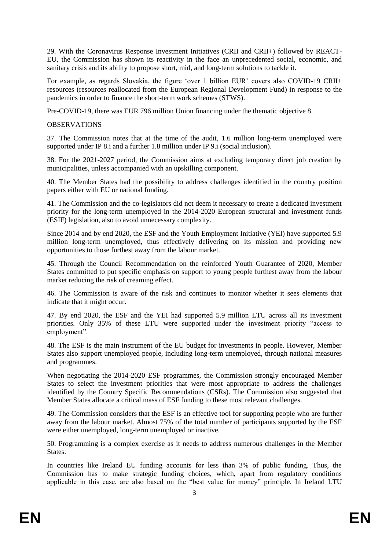29. With the Coronavirus Response Investment Initiatives (CRII and CRII+) followed by REACT-EU, the Commission has shown its reactivity in the face an unprecedented social, economic, and sanitary crisis and its ability to propose short, mid, and long-term solutions to tackle it.

For example, as regards Slovakia, the figure 'over 1 billion EUR' covers also COVID-19 CRII+ resources (resources reallocated from the European Regional Development Fund) in response to the pandemics in order to finance the short-term work schemes (STWS).

Pre-COVID-19, there was EUR 796 million Union financing under the thematic objective 8.

## **OBSERVATIONS**

37. The Commission notes that at the time of the audit, 1.6 million long-term unemployed were supported under IP 8.i and a further 1.8 million under IP 9.i (social inclusion).

38. For the 2021-2027 period, the Commission aims at excluding temporary direct job creation by municipalities, unless accompanied with an upskilling component.

40. The Member States had the possibility to address challenges identified in the country position papers either with EU or national funding.

41. The Commission and the co-legislators did not deem it necessary to create a dedicated investment priority for the long-term unemployed in the 2014-2020 European structural and investment funds (ESIF) legislation, also to avoid unnecessary complexity.

Since 2014 and by end 2020, the ESF and the Youth Employment Initiative (YEI) have supported 5.9 million long-term unemployed, thus effectively delivering on its mission and providing new opportunities to those furthest away from the labour market.

45. Through the Council Recommendation on the reinforced Youth Guarantee of 2020, Member States committed to put specific emphasis on support to young people furthest away from the labour market reducing the risk of creaming effect.

46. The Commission is aware of the risk and continues to monitor whether it sees elements that indicate that it might occur.

47. By end 2020, the ESF and the YEI had supported 5.9 million LTU across all its investment priorities. Only 35% of these LTU were supported under the investment priority "access to employment".

48. The ESF is the main instrument of the EU budget for investments in people. However, Member States also support unemployed people, including long-term unemployed, through national measures and programmes.

When negotiating the 2014-2020 ESF programmes, the Commission strongly encouraged Member States to select the investment priorities that were most appropriate to address the challenges identified by the Country Specific Recommendations (CSRs). The Commission also suggested that Member States allocate a critical mass of ESF funding to these most relevant challenges.

49. The Commission considers that the ESF is an effective tool for supporting people who are further away from the labour market. Almost 75% of the total number of participants supported by the ESF were either unemployed, long-term unemployed or inactive.

50. Programming is a complex exercise as it needs to address numerous challenges in the Member States.

In countries like Ireland EU funding accounts for less than 3% of public funding. Thus, the Commission has to make strategic funding choices, which, apart from regulatory conditions applicable in this case, are also based on the "best value for money" principle. In Ireland LTU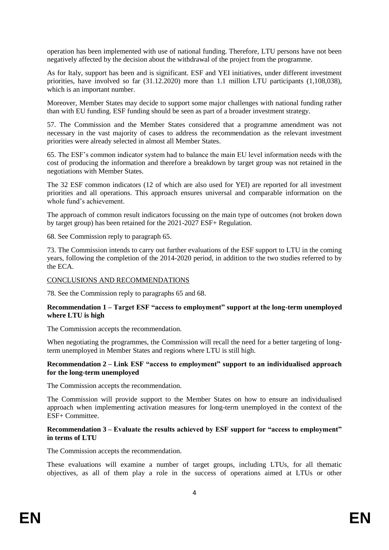operation has been implemented with use of national funding. Therefore, LTU persons have not been negatively affected by the decision about the withdrawal of the project from the programme.

As for Italy, support has been and is significant. ESF and YEI initiatives, under different investment priorities, have involved so far (31.12.2020) more than 1.1 million LTU participants (1,108,038), which is an important number.

Moreover, Member States may decide to support some major challenges with national funding rather than with EU funding. ESF funding should be seen as part of a broader investment strategy.

57. The Commission and the Member States considered that a programme amendment was not necessary in the vast majority of cases to address the recommendation as the relevant investment priorities were already selected in almost all Member States.

65. The ESF's common indicator system had to balance the main EU level information needs with the cost of producing the information and therefore a breakdown by target group was not retained in the negotiations with Member States.

The 32 ESF common indicators (12 of which are also used for YEI) are reported for all investment priorities and all operations. This approach ensures universal and comparable information on the whole fund's achievement.

The approach of common result indicators focussing on the main type of outcomes (not broken down by target group) has been retained for the 2021-2027 ESF+ Regulation.

68. See Commission reply to paragraph 65.

73. The Commission intends to carry out further evaluations of the ESF support to LTU in the coming years, following the completion of the 2014-2020 period, in addition to the two studies referred to by the ECA.

#### CONCLUSIONS AND RECOMMENDATIONS

78. See the Commission reply to paragraphs 65 and 68.

### **Recommendation 1 – Target ESF "access to employment" support at the long-term unemployed where LTU is high**

The Commission accepts the recommendation.

When negotiating the programmes, the Commission will recall the need for a better targeting of longterm unemployed in Member States and regions where LTU is still high.

### **Recommendation 2 – Link ESF "access to employment" support to an individualised approach for the long-term unemployed**

The Commission accepts the recommendation.

The Commission will provide support to the Member States on how to ensure an individualised approach when implementing activation measures for long-term unemployed in the context of the ESF+ Committee.

### **Recommendation 3 – Evaluate the results achieved by ESF support for "access to employment" in terms of LTU**

The Commission accepts the recommendation.

These evaluations will examine a number of target groups, including LTUs, for all thematic objectives, as all of them play a role in the success of operations aimed at LTUs or other